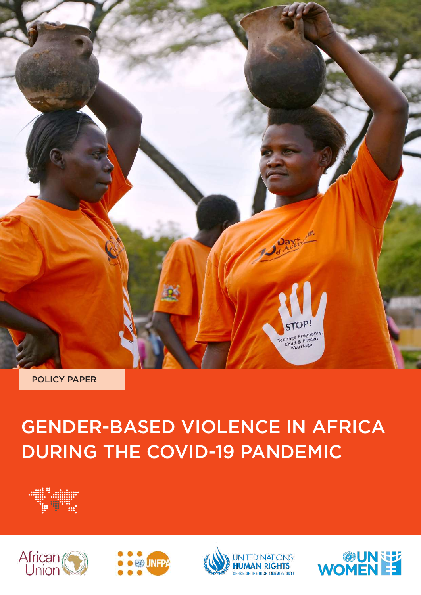

POLICY PAPER

## GENDER-BASED VIOLENCE IN AFRICA DURING THE COVID-19 PANDEMIC





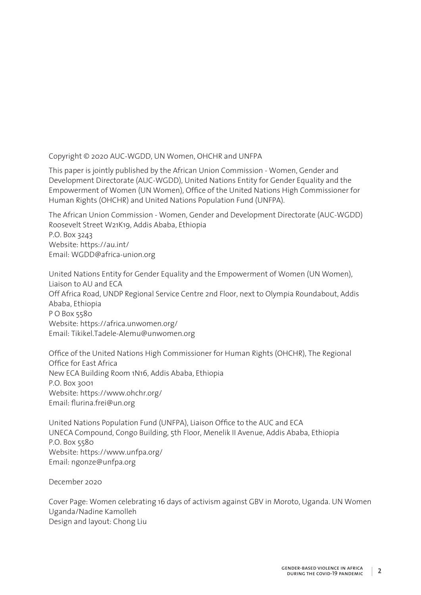Copyright © 2020 AUC-WGDD, UN Women, OHCHR and UNFPA

This paper is jointly published by the African Union Commission - Women, Gender and Development Directorate (AUC-WGDD), United Nations Entity for Gender Equality and the Empowerment of Women (UN Women), Office of the United Nations High Commissioner for Human Rights (OHCHR) and United Nations Population Fund (UNFPA).

The African Union Commission - Women, Gender and Development Directorate (AUC-WGDD) Roosevelt Street W21K19, Addis Ababa, Ethiopia P.O. Box 3243 Website: https://au.int/ Email: WGDD@africa-union.org

United Nations Entity for Gender Equality and the Empowerment of Women (UN Women), Liaison to AU and ECA Off Africa Road, UNDP Regional Service Centre 2nd Floor, next to Olympia Roundabout, Addis Ababa, Ethiopia PO Box 5580 Website: https://africa.unwomen.org/ Email: Tikikel.Tadele-Alemu@unwomen.org

Office of the United Nations High Commissioner for Human Rights (OHCHR), The Regional Office for East Africa New ECA Building Room 1N16, Addis Ababa, Ethiopia P.O. Box 3001 Website: https://www.ohchr.org/ Email: flurina.frei@un.org

United Nations Population Fund (UNFPA), Liaison Office to the AUC and ECA UNECA Compound, Congo Building, 5th Floor, Menelik II Avenue, Addis Ababa, Ethiopia P.O. Box 5580 Website: https://www.unfpa.org/ Email: ngonze@unfpa.org

December 2020

Cover Page: Women celebrating 16 days of activism against GBV in Moroto, Uganda. UN Women Uganda/Nadine Kamolleh Design and layout: Chong Liu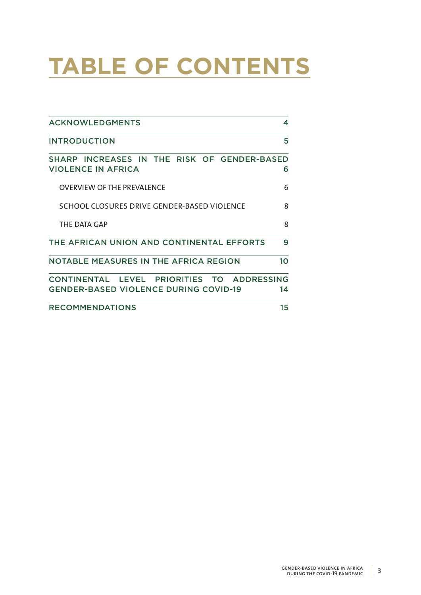# **TABLE OF CONTENTS**

| <b>ACKNOWLEDGMENTS</b>                                                                                  | 4               |
|---------------------------------------------------------------------------------------------------------|-----------------|
| <b>INTRODUCTION</b>                                                                                     | 5               |
| SHARP INCREASES IN THE RISK OF GENDER-BASED<br><b>VIOLENCE IN AFRICA</b>                                | 6               |
| <b>OVERVIEW OF THE PREVALENCE</b>                                                                       | 6               |
| SCHOOL CLOSURES DRIVE GENDER-BASED VIOLENCE                                                             | 8               |
| THE DATA GAP                                                                                            | 8               |
| THE AFRICAN UNION AND CONTINENTAL EFFORTS                                                               | 9               |
| <b>NOTABLE MEASURES IN THE AFRICA REGION</b>                                                            | 10 <sup>1</sup> |
| PRIORITIES TO<br>CONTINENTAL LEVEL<br><b>ADDRESSING</b><br><b>GENDER-BASED VIOLENCE DURING COVID-19</b> | 14              |
| <b>RECOMMENDATIONS</b>                                                                                  | 15              |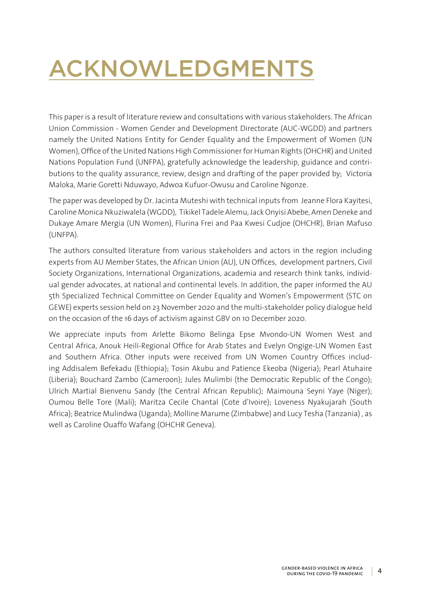# ACKNOWLEDGMENTS

This paper is a result of literature review and consultations with various stakeholders. The African Union Commission - Women Gender and Development Directorate (AUC-WGDD) and partners namely the United Nations Entity for Gender Equality and the Empowerment of Women (UN Women), Office of the United Nations High Commissioner for Human Rights (OHCHR) and United Nations Population Fund (UNFPA), gratefully acknowledge the leadership, guidance and contributions to the quality assurance, review, design and drafting of the paper provided by; Victoria Maloka, Marie Goretti Nduwayo, Adwoa Kufuor-Owusu and Caroline Ngonze.

The paper was developed by Dr. Jacinta Muteshi with technical inputs from Jeanne Flora Kayitesi, Caroline Monica Nkuziwalela (WGDD), Tikikel Tadele Alemu, Jack Onyisi Abebe, Amen Deneke and Dukaye Amare Mergia (UN Women), Flurina Frei and Paa Kwesi Cudjoe (OHCHR), Brian Mafuso (UNFPA).

The authors consulted literature from various stakeholders and actors in the region including experts from AU Member States, the African Union (AU), UN Offices, development partners, Civil Society Organizations, International Organizations, academia and research think tanks, individual gender advocates, at national and continental levels. In addition, the paper informed the AU 5th Specialized Technical Committee on Gender Equality and Women's Empowerment (STC on GEWE) experts session held on 23 November 2020 and the multi-stakeholder policy dialogue held on the occasion of the 16 days of activism against GBV on 10 December 2020.

We appreciate inputs from Arlette Bikomo Belinga Epse Mvondo-UN Women West and Central Africa, Anouk Heili-Regional Office for Arab States and Evelyn Ongige-UN Women East and Southern Africa. Other inputs were received from UN Women Country Offices including Addisalem Befekadu (Ethiopia); Tosin Akubu and Patience Ekeoba (Nigeria); Pearl Atuhaire (Liberia); Bouchard Zambo (Cameroon); Jules Mulimbi (the Democratic Republic of the Congo); Ulrich Martial Bienvenu Sandy (the Central African Republic); Maimouna Seyni Yaye (Niger); Oumou Belle Tore (Mali); Maritza Cecile Chantal (Cote d'Ivoire); Loveness Nyakujarah (South Africa); Beatrice Mulindwa (Uganda); Molline Marume (Zimbabwe) and Lucy Tesha (Tanzania) , as well as Caroline Ouaffo Wafang (OHCHR Geneva).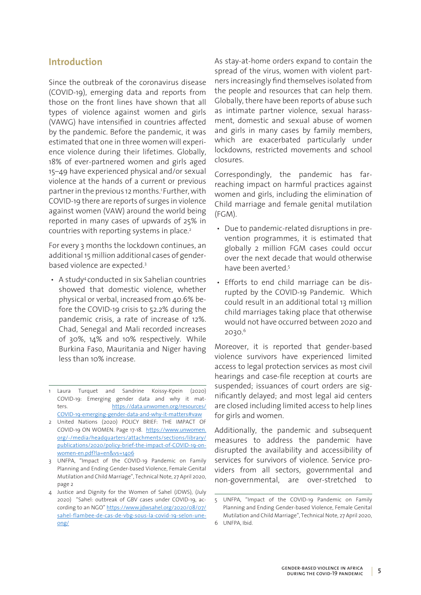## **Introduction**

Since the outbreak of the coronavirus disease (COVID-19), emerging data and reports from those on the front lines have shown that all types of violence against women and girls (VAWG) have intensified in countries affected by the pandemic. Before the pandemic, it was estimated that one in three women will experience violence during their lifetimes. Globally, 18% of ever-partnered women and girls aged 15–49 have experienced physical and/or sexual violence at the hands of a current or previous partner in the previous 12 months.1 Further, with COVID-19 there are reports of surges in violence against women (VAW) around the world being reported in many cases of upwards of 25% in countries with reporting systems in place.<sup>2</sup>

For every 3 months the lockdown continues, an additional 15 million additional cases of genderbased violence are expected.3

• A study4 conducted in six Sahelian countries showed that domestic violence, whether physical or verbal, increased from 40.6% before the COVID-19 crisis to 52.2% during the pandemic crisis, a rate of increase of 12%. Chad, Senegal and Mali recorded increases of 30%, 14% and 10% respectively. While Burkina Faso, Mauritania and Niger having less than 10% increase.

- 2 United Nations (2020) POLICY BRIEF: THE IMPACT OF COVID-19 ON WOMEN. Page 17-18. https://www.unwomen. org/-/media/headquarters/attachments/sections/library/ publications/2020/policy-brief-the-impact-of-COVID-19-onwomen-en.pdf?la=en&vs=1406
- 3 UNFPA, "Impact of the COVID-19 Pandemic on Family Planning and Ending Gender-based Violence, Female Genital Mutilation and Child Marriage", Technical Note, 27 April 2020, page 2
- 4 Justice and Dignity for the Women of Sahel (JDWS), (July 2020) "Sahel: outbreak of GBV cases under COVID-19, according to an NGO" https://www.jdwsahel.org/2020/08/07/ sahel-flambee-de-cas-de-vbg-sous-la-covid-19-selon-uneong/

As stay-at-home orders expand to contain the spread of the virus, women with violent partners increasingly find themselves isolated from the people and resources that can help them. Globally, there have been reports of abuse such as intimate partner violence, sexual harassment, domestic and sexual abuse of women and girls in many cases by family members, which are exacerbated particularly under lockdowns, restricted movements and school closures.

Correspondingly, the pandemic has farreaching impact on harmful practices against women and girls, including the elimination of Child marriage and female genital mutilation (FGM).

- Due to pandemic-related disruptions in prevention programmes, it is estimated that globally 2 million FGM cases could occur over the next decade that would otherwise have been averted<sup>5</sup>
- Efforts to end child marriage can be disrupted by the COVID-19 Pandemic. Which could result in an additional total 13 million child marriages taking place that otherwise would not have occurred between 2020 and 2030.6

Moreover, it is reported that gender-based violence survivors have experienced limited access to legal protection services as most civil hearings and case-file reception at courts are suspended; issuances of court orders are significantly delayed; and most legal aid centers are closed including limited access to help lines for girls and women.

Additionally, the pandemic and subsequent measures to address the pandemic have disrupted the availability and accessibility of services for survivors of violence. Service providers from all sectors, governmental and non-governmental, are over-stretched to

<sup>1</sup> Laura Turquet and Sandrine Koissy-Kpein (2020) COVID-19: Emerging gender data and why it matters. https://data.unwomen.org/resources/ COVID-19-emerging-gender-data-and-why-it-matters#vaw

<sup>5</sup> UNFPA, "Impact of the COVID-19 Pandemic on Family Planning and Ending Gender-based Violence, Female Genital Mutilation and Child Marriage", Technical Note, 27 April 2020, 6 UNFPA, Ibid.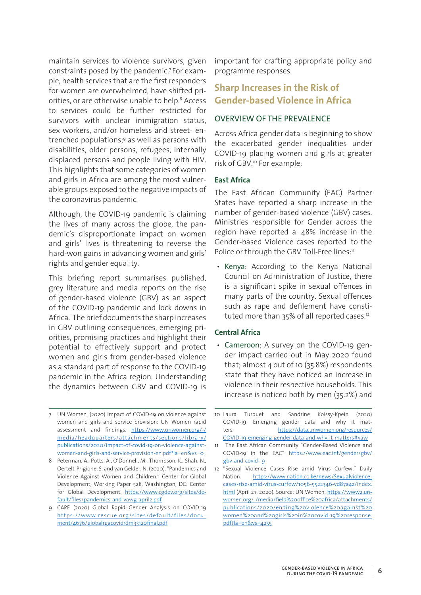maintain services to violence survivors, given constraints posed by the pandemic.7 For example, health services that are the first responders for women are overwhelmed, have shifted priorities, or are otherwise unable to help.<sup>8</sup> Access to services could be further restricted for survivors with unclear immigration status, sex workers, and/or homeless and street- entrenched populations;9 as well as persons with disabilities, older persons, refugees, internally displaced persons and people living with HIV. This highlights that some categories of women and girls in Africa are among the most vulnerable groups exposed to the negative impacts of the coronavirus pandemic.

Although, the COVID-19 pandemic is claiming the lives of many across the globe, the pandemic's disproportionate impact on women and girls' lives is threatening to reverse the hard-won gains in advancing women and girls' rights and gender equality.

This briefing report summarises published, grey literature and media reports on the rise of gender-based violence (GBV) as an aspect of the COVID-19 pandemic and lock downs in Africa. The brief documents the sharp increases in GBV outlining consequences, emerging priorities, promising practices and highlight their potential to effectively support and protect women and girls from gender-based violence as a standard part of response to the COVID-19 pandemic in the Africa region. Understanding the dynamics between GBV and COVID-19 is

7 UN Women, (2020) Impact of COVID-19 on violence against women and girls and service provision: UN Women rapid assessment and findings. https://www.unwomen.org/-/ media/headquarters/attachments/sections/library/ publications/2020/impact-of-covid-19-on-violence-againstwomen-and-girls-and-service-provision-en.pdf?la=en&vs=0

8 Peterman, A., Potts, A., O'Donnell, M., Thompson, K., Shah, N., Oertelt-Prigione, S. and van Gelder, N. (2020). "Pandemics and Violence Against Women and Children." Center for Global Development, Working Paper 528. Washington, DC: Center for Global Development. https://www.cgdev.org/sites/default/files/pandemics-and-vawg-april2.pdf

9 CARE (2020) Global Rapid Gender Analysis on COVID-19 https://www.rescue.org/sites/default/files/document/4676/globalrgacovidrdm33120final.pdf

important for crafting appropriate policy and programme responses.

## **Sharp Increases in the Risk of Gender-based Violence in Africa**

## OVERVIEW OF THE PREVALENCE

Across Africa gender data is beginning to show the exacerbated gender inequalities under COVID-19 placing women and girls at greater risk of GBV.10 For example;

## **East Africa**

The East African Community (EAC) Partner States have reported a sharp increase in the number of gender-based violence (GBV) cases. Ministries responsible for Gender across the region have reported a 48% increase in the Gender-based Violence cases reported to the Police or through the GBV Toll-Free lines:<sup>11</sup>

• Kenya: According to the Kenya National Council on Administration of Justice, there is a significant spike in sexual offences in many parts of the country. Sexual offences such as rape and defilement have constituted more than 35% of all reported cases.12

## **Central Africa**

• Cameroon: A survey on the COVID-19 gender impact carried out in May 2020 found that; almost 4 out of 10 (35.8%) respondents state that they have noticed an increase in violence in their respective households. This increase is noticed both by men (35.2%) and

<sup>10</sup> Laura Turquet and Sandrine Koissy-Kpein (2020) COVID-19: Emerging gender data and why it matters. https://data.unwomen.org/resources/ COVID-19-emerging-gender-data-and-why-it-matters#vaw

<sup>11</sup> The East African Community "Gender-Based Violence and COVID-19 in the EAC" https://www.eac.int/gender/gbv/ gbv-and-covid-19

<sup>12</sup> "Sexual Violence Cases Rise amid Virus Curfew." Daily Nation. https://www.nation.co.ke/news/Sexualviolencecases-rise-amid-virus-curfew/1056-5522346-vd87a4z/index. html (April 27, 2020). Source: UN Women. https://www2.unwomen.org/-/media/field%20office%20africa/attachments/ publications/2020/ending%20violence%20against%20 women%20and%20girls%20in%20covid-19%20response. pdf?la=en&vs=4255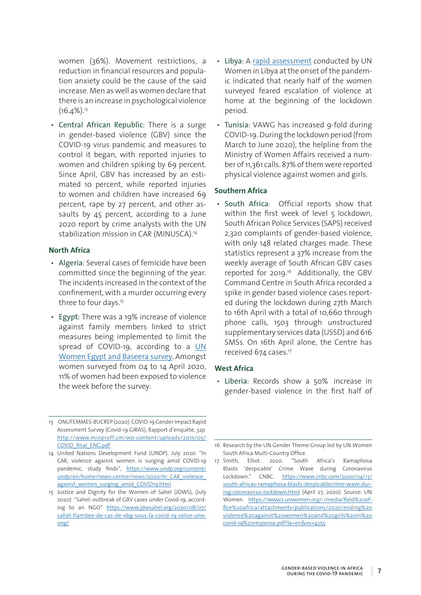women (36%). Movement restrictions, a reduction in financial resources and population anxiety could be the cause of the said increase. Men as well as women declare that there is an increase in psychological violence  $(16.4\%)$ <sup>13</sup>

• Central African Republic: There is a surge in gender-based violence (GBV) since the COVID-19 virus pandemic and measures to control it began, with reported injuries to women and children spiking by 69 percent. Since April, GBV has increased by an estimated 10 percent, while reported injuries to women and children have increased 69 percent, rape by 27 percent, and other assaults by 45 percent, according to a June 2020 report by crime analysts with the UN stabilization mission in CAR (MINUSCA).14

## **North Africa**

- Algeria: Several cases of femicide have been committed since the beginning of the year. The incidents increased in the context of the confinement, with a murder occurring every three to four days.<sup>15</sup>
- Egypt: There was a 19% increase of violence against family members linked to strict measures being implemented to limit the spread of COVID-19, according to a UN Women Egypt and Baseera survey. Amongst women surveyed from 04 to 14 April 2020, 11% of women had been exposed to violence the week before the survey.
- Libya: A rapid assessment conducted by UN Women in Libya at the onset of the pandemic indicated that nearly half of the women surveyed feared escalation of violence at home at the beginning of the lockdown period.
- Tunisia: VAWG has increased 9-fold during COVID-19. During the lockdown period (from March to June 2020), the helpline from the Ministry of Women Affairs received a number of 11,361 calls. 87% of them were reported physical violence against women and girls.

## **Southern Africa**

• South Africa: Official reports show that within the first week of level 5 lockdown, South African Police Services (SAPS) received 2,320 complaints of gender-based violence, with only 148 related charges made. These statistics represent a 37% increase from the weekly average of South African GBV cases reported for 2019.16 Additionally, the GBV Command Centre in South Africa recorded a spike in gender based violence cases reported during the lockdown during 27th March to 16th April with a total of 10,660 through phone calls, 1503 through unstructured supplementary services data (USSD) and 616 SMSs. On 16th April alone, the Centre has received 674 cases.<sup>17</sup>

#### **West Africa**

• Liberia: Records show a 50% increase in gender-based violence in the first half of

<sup>13</sup> ONUFEMMES-BUCREP (2020). COVID-19 Gender Impact Rapid Assessment Survey (Covid-19 GIRAS), Rapport d'enquête, 32p. http://www.minproff.cm/wp-content/uploads/2015/05/ COVID\_final\_ENG.pdf

<sup>14</sup> United Nations Development Fund (UNDP). July 2020. "In CAR, violence against women is surging amid COVID-19 pandemic, study finds", https://www.undp.org/content/ undp/en/home/news-centre/news/2020/ln\_CAR\_violence against women surging amid COVID19.html

<sup>15</sup> Justice and Dignity for the Women of Sahel (JDWS), (July 2020) "Sahel: outbreak of GBV cases under Covid-19, according to an NGO" https://www.jdwsahel.org/2020/08/07/ sahel-flambee-de-cas-de-vbg-sous-la-covid-19-selon-uneong/

<sup>16</sup> Research by the UN Gender Theme Group led by UN Women South Africa Multi-Country Office.

<sup>17</sup> Smith, Elliot. 2020. "South Africa's Ramaphosa Blasts 'despicable' Crime Wave during Coronavirus Lockdown." CNBC. https://www.cnbc.com/2020/04/13/ south-africas-ramaphosa-blasts-despicablecrime-wave-during-coronavirus-lockdown.html (April 27, 2020). Source: UN Women. https://www2.unwomen.org/-/media/field%20office%20africa/attachments/publications/2020/ending%20 violence%20against%20women%20and%20girls%20in%20 covid-19%20response.pdf?la=en&vs=4255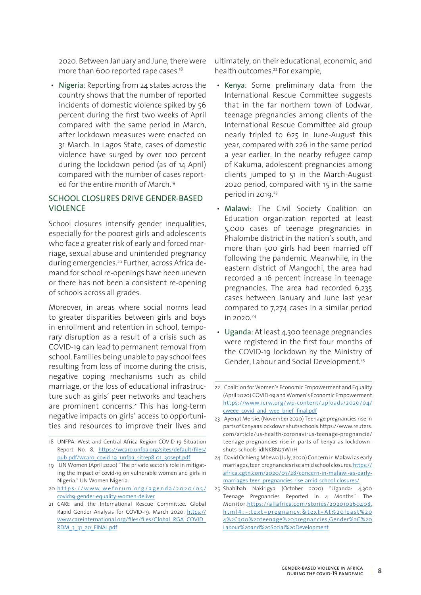2020. Between January and June, there were more than 600 reported rape cases.<sup>18</sup>

• Nigeria: Reporting from 24 states across the country shows that the number of reported incidents of domestic violence spiked by 56 percent during the first two weeks of April compared with the same period in March, after lockdown measures were enacted on 31 March. In Lagos State, cases of domestic violence have surged by over 100 percent during the lockdown period (as of 14 April) compared with the number of cases reported for the entire month of March.<sup>19</sup>

## SCHOOL CLOSURES DRIVE GENDER-BASED VIOLENCE

School closures intensify gender inequalities, especially for the poorest girls and adolescents who face a greater risk of early and forced marriage, sexual abuse and unintended pregnancy during emergencies.20 Further, across Africa demand for school re-openings have been uneven or there has not been a consistent re-opening of schools across all grades.

Moreover, in areas where social norms lead to greater disparities between girls and boys in enrollment and retention in school, temporary disruption as a result of a crisis such as COVID-19 can lead to permanent removal from school. Families being unable to pay school fees resulting from loss of income during the crisis, negative coping mechanisms such as child marriage, or the loss of educational infrastructure such as girls' peer networks and teachers are prominent concerns.<sup>21</sup> This has long-term negative impacts on girls' access to opportunities and resources to improve their lives and

- 20 https://www.weforum.org/agenda/2020/05/ covid19-gender-equality-women-deliver
- 21 CARE and the International Rescue Committee. Global Rapid Gender Analysis for COVID-19. March 2020. https:// www.careinternational.org/files/files/Global\_RGA\_COVID\_ RDM 3\_31\_20\_FINAL.pdf

ultimately, on their educational, economic, and health outcomes.<sup>22</sup> For example,

- Kenya: Some preliminary data from the International Rescue Committee suggests that in the far northern town of Lodwar, teenage pregnancies among clients of the International Rescue Committee aid group nearly tripled to 625 in June-August this year, compared with 226 in the same period a year earlier. In the nearby refugee camp of Kakuma, adolescent pregnancies among clients jumped to 51 in the March-August 2020 period, compared with 15 in the same period in 2019.<sup>23</sup>
- Malawi: The Civil Society Coalition on Education organization reported at least 5,000 cases of teenage pregnancies in Phalombe district in the nation's south, and more than 500 girls had been married off following the pandemic. Meanwhile, in the eastern district of Mangochi, the area had recorded a 16 percent increase in teenage pregnancies. The area had recorded 6,235 cases between January and June last year compared to 7,274 cases in a similar period in 2020.24
- Uganda: At least 4,300 teenage pregnancies were registered in the first four months of the COVID-19 lockdown by the Ministry of Gender, Labour and Social Development.25

<sup>18</sup> UNFPA. West and Central Africa Region COVID-19 Situation Report No. 8, https://wcaro.unfpa.org/sites/default/files/ pub-pdf/wcaro\_covid-19\_unfpa\_sitrep8-01\_30sept.pdf

<sup>19</sup> UN Women (April 2020) "The private sector's role in mitigating the impact of covid-19 on vulnerable women and girls in Nigeria." UN Women Nigeria.

<sup>22</sup> Coalition for Women's Economic Empowerment and Equality (April 2020) COVID-19 and Women's Economic Empowerment https://www.icrw.org/wp-content/uploads/2020/04/ cweee\_covid\_and\_wee\_brief\_final.pdf

<sup>23</sup> Ayenat Mersie, (November 2020) Teenage pregnancies rise in parts of Kenya as lockdown shuts schools. https://www.reuters. com/article/us-health-coronavirus-teenage-pregnancie/ teenage-pregnancies-rise-in-parts-of-kenya-as-lockdownshuts-schools-idINKBN27W11H

<sup>24</sup> David Ochieng Mbewa (July, 2020) Concern in Malawi as early marriages, teen pregnancies rise amid school closures. https:// africa.cgtn.com/2020/07/28/concern-in-malawi-as-earlymarriages-teen-pregnancies-rise-amid-school-closures/

<sup>25</sup> Shabibah Nakirigya (October 2020) "Uganda: 4,300 Teenage Pregnancies Reported in 4 Months". The Monitor.https://allafrica.com/stories/202010260408. html#:~:text=pregnancy.&text=At%20least%20 4%2C300%20teenage%20pregnancies,Gender%2C%20 Labour%20and%20Social%20Development.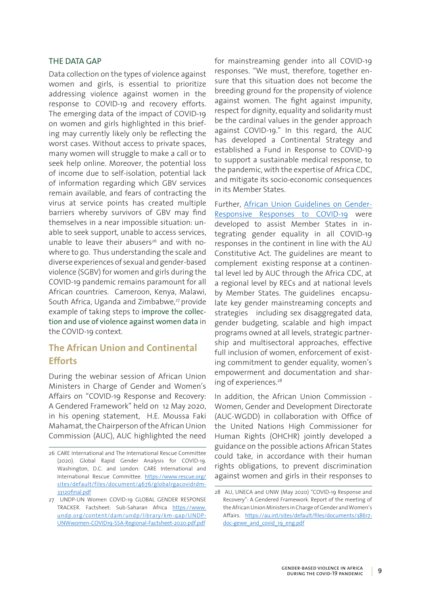## THE DATA GAP

Data collection on the types of violence against women and girls, is essential to prioritize addressing violence against women in the response to COVID-19 and recovery efforts. The emerging data of the impact of COVID-19 on women and girls highlighted in this briefing may currently likely only be reflecting the worst cases. Without access to private spaces, many women will struggle to make a call or to seek help online. Moreover, the potential loss of income due to self-isolation, potential lack of information regarding which GBV services remain available, and fears of contracting the virus at service points has created multiple barriers whereby survivors of GBV may find themselves in a near impossible situation: unable to seek support, unable to access services, unable to leave their abusers<sup>26</sup> and with nowhere to go. Thus understanding the scale and diverse experiences of sexual and gender-based violence (SGBV) for women and girls during the COVID-19 pandemic remains paramount for all African countries. Cameroon, Kenya, Malawi, South Africa, Uganda and Zimbabwe,<sup>27</sup> provide example of taking steps to improve the collection and use of violence against women data in the COVID-19 context.

## **The African Union and Continental Efforts**

During the webinar session of African Union Ministers in Charge of Gender and Women's Affairs on "COVID-19 Response and Recovery: A Gendered Framework" held on 12 May 2020, in his opening statement, H.E. Moussa Faki Mahamat, the Chairperson of the African Union Commission (AUC), AUC highlighted the need

for mainstreaming gender into all COVID-19 responses. "We must, therefore, together ensure that this situation does not become the breeding ground for the propensity of violence against women. The fight against impunity, respect for dignity, equality and solidarity must be the cardinal values in the gender approach against COVID-19." In this regard, the AUC has developed a Continental Strategy and established a Fund in Response to COVID-19 to support a sustainable medical response, to the pandemic, with the expertise of Africa CDC, and mitigate its socio-economic consequences in its Member States.

Further, African Union Guidelines on Gender-Responsive Responses to COVID-19 were developed to assist Member States in integrating gender equality in all COVID-19 responses in the continent in line with the AU Constitutive Act. The guidelines are meant to complement existing response at a continental level led by AUC through the Africa CDC, at a regional level by RECs and at national levels by Member States. The guidelines encapsulate key gender mainstreaming concepts and strategies including sex disaggregated data, gender budgeting, scalable and high impact programs owned at all levels, strategic partnership and multisectoral approaches, effective full inclusion of women, enforcement of existing commitment to gender equality, women's empowerment and documentation and sharing of experiences.<sup>28</sup>

In addition, the African Union Commission - Women, Gender and Development Directorate (AUC-WGDD) in collaboration with Office of the United Nations High Commissioner for Human Rights (OHCHR) jointly developed a guidance on the possible actions African States could take, in accordance with their human rights obligations, to prevent discrimination against women and girls in their responses to

<sup>26</sup> CARE International and The International Rescue Committee (2020). Global Rapid Gender Analysis for COVID-19. Washington, D.C. and London: CARE International and International Rescue Committee. https://www.rescue.org/ sites/default/files/document/4676/globalrgacovidrdm-33120final.pdf

<sup>27</sup> UNDP-UN Women COVID-19 GLOBAL GENDER RESPONSE TRACKER. Factsheet: Sub-Saharan Africa https://www. undp.org/content/dam/undp/library/km-qap/UNDP-UNWwomen-COVID19-SSA-Regional-Factsheet-2020.pdf.pdf

<sup>28</sup> AU, UNECA and UNW (May 2020) "COVID-19 Response and Recovery": A Gendered Framework. Report of the meeting of the African Union Ministers in Charge of Gender and Women's Affairs. https://au.int/sites/default/files/documents/38617 doc-gewe and covid 19 eng.pdf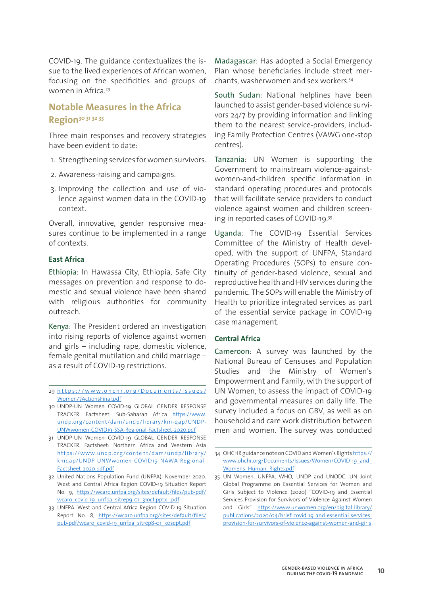COVID-19. The guidance contextualizes the issue to the lived experiences of African women, focusing on the specificities and groups of women in Africa.<sup>29</sup>

## **Notable Measures in the Africa Region30 <sup>31</sup> <sup>32</sup> <sup>33</sup>**

Three main responses and recovery strategies have been evident to date:

- 1. Strengthening services for women survivors.
- 2. Awareness-raising and campaigns.
- 3. Improving the collection and use of violence against women data in the COVID-19 context.

Overall, innovative, gender responsive measures continue to be implemented in a range of contexts.

#### **East Africa**

Ethiopia: In Hawassa City, Ethiopia, Safe City messages on prevention and response to domestic and sexual violence have been shared with religious authorities for community outreach.

Kenya: The President ordered an investigation into rising reports of violence against women and girls – including rape, domestic violence, female genital mutilation and child marriage – as a result of COVID-19 restrictions.

- 30 UNDP-UN Women COVID-19 GLOBAL GENDER RESPONSE TRACKER. Factsheet: Sub-Saharan Africa https://www. undp.org/content/dam/undp/library/km-qap/UNDP-UNWwomen-COVID19-SSA-Regional-Factsheet-2020.pdf
- 31 UNDP-UN Women COVID-19 GLOBAL GENDER RESPONSE TRACKER. Factsheet: Northern Africa and Western Asia https://www.undp.org/content/dam/undp/library/ kmqap/UNDP-UNWwomen-COVID19-NAWA-Regional-Factsheet-2020.pdf.pdf
- 32 United Nations Population Fund (UNFPA). November 2020. West and Central Africa Region COVID-19 Situation Report No. 9, https://wcaro.unfpa.org/sites/default/files/pub-pdf/ wcaro\_covid-19\_unfpa\_sitrep9-01\_31oct.pptx\_.pdf
- 33 UNFPA. West and Central Africa Region COVID-19 Situation Report No. 8, https://wcaro.unfpa.org/sites/default/files/ pub-pdf/wcaro\_covid-19\_unfpa\_sitrep8-01\_30sept.pdf

Madagascar: Has adopted a Social Emergency Plan whose beneficiaries include street merchants, washerwomen and sex workers.34

South Sudan: National helplines have been launched to assist gender-based violence survivors 24/7 by providing information and linking them to the nearest service-providers, including Family Protection Centres (VAWG one-stop centres).

Tanzania: UN Women is supporting the Government to mainstream violence-againstwomen-and-children specific information in standard operating procedures and protocols that will facilitate service providers to conduct violence against women and children screening in reported cases of COVID-19.35

Uganda: The COVID-19 Essential Services Committee of the Ministry of Health developed, with the support of UNFPA, Standard Operating Procedures (SOPs) to ensure continuity of gender-based violence, sexual and reproductive health and HIV services during the pandemic. The SOPs will enable the Ministry of Health to prioritize integrated services as part of the essential service package in COVID-19 case management.

#### **Central Africa**

Cameroon: A survey was launched by the National Bureau of Censuses and Population Studies and the Ministry of Women's Empowerment and Family, with the support of UN Women, to assess the impact of COVID-19 and governmental measures on daily life. The survey included a focus on GBV, as well as on household and care work distribution between men and women. The survey was conducted

<sup>29</sup> https://www.ohchr.org/Documents/Issues/ Women/7ActionsFinal.pdf

<sup>34</sup> OHCHR guidance note on COVID and Women's Rights https:// www.ohchr.org/Documents/Issues/Women/COVID-19\_and\_ Womens Human Rights.pdf

<sup>35</sup> UN Women, UNFPA, WHO, UNDP and UNODC. UN Joint Global Programme on Essential Services for Women and Girls Subject to Violence (2020) "COVID-19 and Essential Services Provision for Survivors of Violence Against Women and Girls" https://www.unwomen.org/en/digital-library/ publications/2020/04/brief-covid-19-and-essential-servicesprovision-for-survivors-of-violence-against-women-and-girls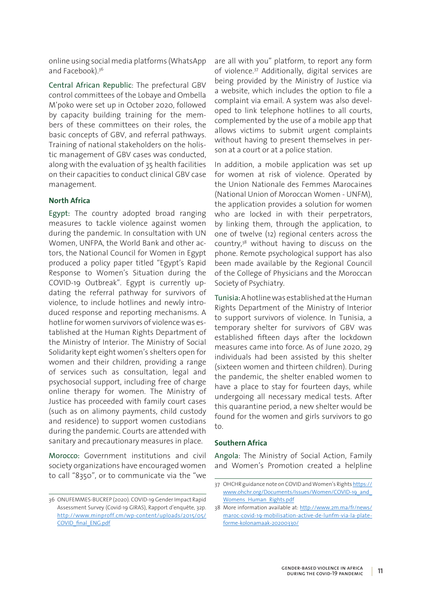online using social media platforms (WhatsApp and Facebook).<sup>36</sup>

Central African Republic: The prefectural GBV control committees of the Lobaye and Ombella M'poko were set up in October 2020, followed by capacity building training for the members of these committees on their roles, the basic concepts of GBV, and referral pathways. Training of national stakeholders on the holistic management of GBV cases was conducted, along with the evaluation of 35 health facilities on their capacities to conduct clinical GBV case management.

## **North Africa**

Egypt: The country adopted broad ranging measures to tackle violence against women during the pandemic. In consultation with UN Women, UNFPA, the World Bank and other actors, the National Council for Women in Egypt produced a policy paper titled "Egypt's Rapid Response to Women's Situation during the COVID-19 Outbreak". Egypt is currently updating the referral pathway for survivors of violence, to include hotlines and newly introduced response and reporting mechanisms. A hotline for women survivors of violence was established at the Human Rights Department of the Ministry of Interior. The Ministry of Social Solidarity kept eight women's shelters open for women and their children, providing a range of services such as consultation, legal and psychosocial support, including free of charge online therapy for women. The Ministry of Justice has proceeded with family court cases (such as on alimony payments, child custody and residence) to support women custodians during the pandemic. Courts are attended with sanitary and precautionary measures in place.

Morocco: Government institutions and civil society organizations have encouraged women to call "8350", or to communicate via the "we are all with you" platform, to report any form of violence.37 Additionally, digital services are being provided by the Ministry of Justice via a website, which includes the option to file a complaint via email. A system was also developed to link telephone hotlines to all courts, complemented by the use of a mobile app that allows victims to submit urgent complaints without having to present themselves in person at a court or at a police station.

In addition, a mobile application was set up for women at risk of violence. Operated by the Union Nationale des Femmes Marocaines (National Union of Moroccan Women - UNFM), the application provides a solution for women who are locked in with their perpetrators, by linking them, through the application, to one of twelve (12) regional centers across the country,38 without having to discuss on the phone. Remote psychological support has also been made available by the Regional Council of the College of Physicians and the Moroccan Society of Psychiatry.

Tunisia: A hotline was established at the Human Rights Department of the Ministry of Interior to support survivors of violence. In Tunisia, a temporary shelter for survivors of GBV was established fifteen days after the lockdown measures came into force. As of June 2020, 29 individuals had been assisted by this shelter (sixteen women and thirteen children). During the pandemic, the shelter enabled women to have a place to stay for fourteen days, while undergoing all necessary medical tests. After this quarantine period, a new shelter would be found for the women and girls survivors to go to.

#### **Southern Africa**

Angola: The Ministry of Social Action, Family and Women's Promotion created a helpline

<sup>36</sup> ONUFEMMES-BUCREP (2020). COVID-19 Gender Impact Rapid Assessment Survey (Covid-19 GIRAS), Rapport d'enquête, 32p. http://www.minproff.cm/wp-content/uploads/2015/05/ COVID\_final\_ENG.pdf

<sup>37</sup> OHCHR guidance note on COVID and Women's Rights https:// www.ohchr.org/Documents/Issues/Women/COVID-19\_and\_ Womens Human Rights.pdf

<sup>38</sup> More information available at: http://www.2m.ma/fr/news/ maroc-covid-19-mobilisation-active-de-lunfm-via-la-plateforme-kolonamaak-20200330/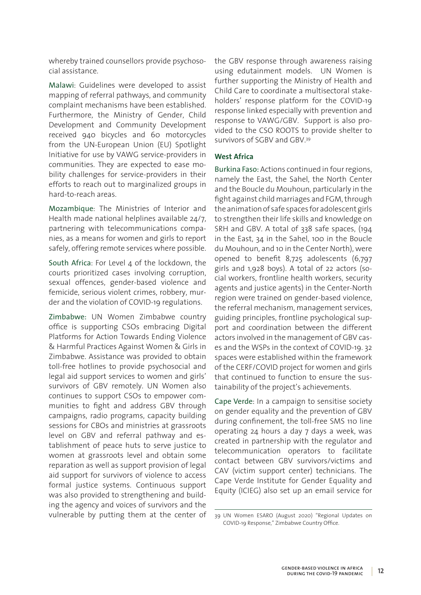whereby trained counsellors provide psychosocial assistance.

Malawi: Guidelines were developed to assist mapping of referral pathways, and community complaint mechanisms have been established. Furthermore, the Ministry of Gender, Child Development and Community Development received 940 bicycles and 60 motorcycles from the UN-European Union (EU) Spotlight Initiative for use by VAWG service-providers in communities. They are expected to ease mobility challenges for service-providers in their efforts to reach out to marginalized groups in hard-to-reach areas.

Mozambique: The Ministries of Interior and Health made national helplines available 24/7, partnering with telecommunications companies, as a means for women and girls to report safely, offering remote services where possible.

South Africa: For Level 4 of the lockdown, the courts prioritized cases involving corruption, sexual offences, gender-based violence and femicide, serious violent crimes, robbery, murder and the violation of COVID-19 regulations.

Zimbabwe: UN Women Zimbabwe country office is supporting CSOs embracing Digital Platforms for Action Towards Ending Violence & Harmful Practices Against Women & Girls in Zimbabwe. Assistance was provided to obtain toll-free hotlines to provide psychosocial and legal aid support services to women and girls' survivors of GBV remotely. UN Women also continues to support CSOs to empower communities to fight and address GBV through campaigns, radio programs, capacity building sessions for CBOs and ministries at grassroots level on GBV and referral pathway and establishment of peace huts to serve justice to women at grassroots level and obtain some reparation as well as support provision of legal aid support for survivors of violence to access formal justice systems. Continuous support was also provided to strengthening and building the agency and voices of survivors and the vulnerable by putting them at the center of the GBV response through awareness raising using edutainment models. UN Women is further supporting the Ministry of Health and Child Care to coordinate a multisectoral stakeholders' response platform for the COVID-19 response linked especially with prevention and response to VAWG/GBV. Support is also provided to the CSO ROOTS to provide shelter to survivors of SGBV and GBV.39

## **West Africa**

Burkina Faso: Actions continued in four regions, namely the East, the Sahel, the North Center and the Boucle du Mouhoun, particularly in the fight against child marriages and FGM, through the animation of safe spaces for adolescent girls to strengthen their life skills and knowledge on SRH and GBV. A total of 338 safe spaces, (194 in the East, 34 in the Sahel, 100 in the Boucle du Mouhoun, and 10 in the Center North), were opened to benefit 8,725 adolescents (6,797 girls and 1,928 boys). A total of 22 actors (social workers, frontline health workers, security agents and justice agents) in the Center-North region were trained on gender-based violence, the referral mechanism, management services, guiding principles, frontline psychological support and coordination between the different actors involved in the management of GBV cases and the WSPs in the context of COVID-19. 32 spaces were established within the framework of the CERF/COVID project for women and girls that continued to function to ensure the sustainability of the project's achievements.

Cape Verde: In a campaign to sensitise society on gender equality and the prevention of GBV during confinement, the toll-free SMS 110 line operating 24 hours a day 7 days a week, was created in partnership with the regulator and telecommunication operators to facilitate contact between GBV survivors/victims and CAV (victim support center) technicians. The Cape Verde Institute for Gender Equality and Equity (ICIEG) also set up an email service for

<sup>39</sup> UN Women ESARO (August 2020) "Regional Updates on COVID-19 Response," Zimbabwe Country Office.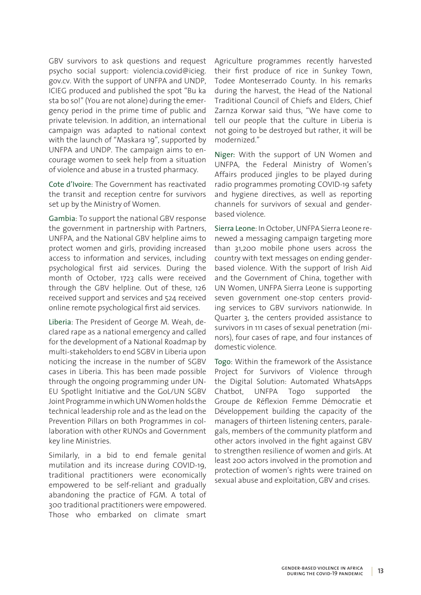GBV survivors to ask questions and request psycho social support: violencia.covid@icieg. gov.cv. With the support of UNFPA and UNDP, ICIEG produced and published the spot "Bu ka sta bo so!" (You are not alone) during the emergency period in the prime time of public and private television. In addition, an international campaign was adapted to national context with the launch of "Maskara 19", supported by UNFPA and UNDP. The campaign aims to encourage women to seek help from a situation of violence and abuse in a trusted pharmacy.

Cote d'Ivoire: The Government has reactivated the transit and reception centre for survivors set up by the Ministry of Women.

Gambia: To support the national GBV response the government in partnership with Partners, UNFPA, and the National GBV helpline aims to protect women and girls, providing increased access to information and services, including psychological first aid services. During the month of October, 1723 calls were received through the GBV helpline. Out of these, 126 received support and services and 524 received online remote psychological first aid services.

Liberia: The President of George M. Weah, declared rape as a national emergency and called for the development of a National Roadmap by multi-stakeholders to end SGBV in Liberia upon noticing the increase in the number of SGBV cases in Liberia. This has been made possible through the ongoing programming under UN-EU Spotlight Initiative and the GoL/UN SGBV Joint Programme in which UN Women holds the technical leadership role and as the lead on the Prevention Pillars on both Programmes in collaboration with other RUNOs and Government key line Ministries.

Similarly, in a bid to end female genital mutilation and its increase during COVID-19, traditional practitioners were economically empowered to be self-reliant and gradually abandoning the practice of FGM. A total of 300 traditional practitioners were empowered. Those who embarked on climate smart

Agriculture programmes recently harvested their first produce of rice in Sunkey Town, Todee Monteserrado County. In his remarks during the harvest, the Head of the National Traditional Council of Chiefs and Elders, Chief Zarnza Korwar said thus, "We have come to tell our people that the culture in Liberia is not going to be destroyed but rather, it will be modernized."

Niger: With the support of UN Women and UNFPA, the Federal Ministry of Women's Affairs produced jingles to be played during radio programmes promoting COVID-19 safety and hygiene directives, as well as reporting channels for survivors of sexual and genderbased violence.

Sierra Leone: In October, UNFPA Sierra Leone renewed a messaging campaign targeting more than 31,200 mobile phone users across the country with text messages on ending genderbased violence. With the support of Irish Aid and the Government of China, together with UN Women, UNFPA Sierra Leone is supporting seven government one-stop centers providing services to GBV survivors nationwide. In Quarter 3, the centers provided assistance to survivors in 111 cases of sexual penetration (minors), four cases of rape, and four instances of domestic violence.

Togo: Within the framework of the Assistance Project for Survivors of Violence through the Digital Solution: Automated WhatsApps Chatbot, UNFPA Togo supported the Groupe de Réflexion Femme Démocratie et Développement building the capacity of the managers of thirteen listening centers, paralegals, members of the community platform and other actors involved in the fight against GBV to strengthen resilience of women and girls. At least 200 actors involved in the promotion and protection of women's rights were trained on sexual abuse and exploitation, GBV and crises.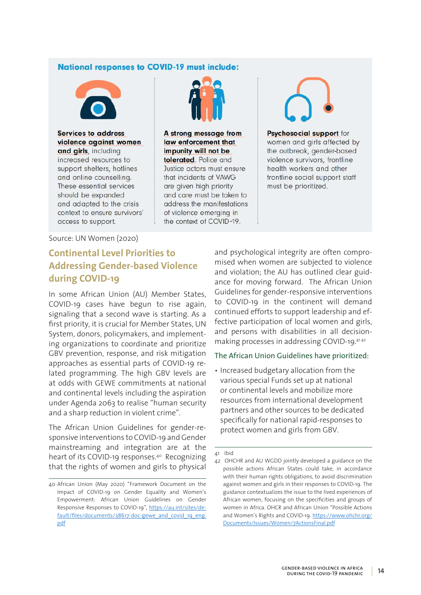## **National responses to COVID-19 must include:**



**Services to address** violence against women and girls, including increased resources to support shelters, hotlines and online counselling. These essential services should be expanded and adapted to the crisis context to ensure survivors' access to support.



A strong message from law enforcement that impunity will not be tolerated. Police and Justice actors must ensure that incidents of VAWG are given high priority and care must be taken to address the manifestations of violence emerging in the context of COVID-19.

Psychosocial support for women and girls affected by the outbreak, gender-based violence survivors, frontline health workers and other frontline social support staff must be prioritized.

Source: UN Women (2020)

## **Continental Level Priorities to Addressing Gender-based Violence during COVID-19**

In some African Union (AU) Member States, COVID-19 cases have begun to rise again, signaling that a second wave is starting. As a first priority, it is crucial for Member States, UN System, donors, policymakers, and implementing organizations to coordinate and prioritize GBV prevention, response, and risk mitigation approaches as essential parts of COVID-19 related programming. The high GBV levels are at odds with GEWE commitments at national and continental levels including the aspiration under Agenda 2063 to realise "human security and a sharp reduction in violent crime".

The African Union Guidelines for gender-responsive interventions to COVID-19 and Gender mainstreaming and integration are at the heart of its COVID-19 responses.40 Recognizing that the rights of women and girls to physical

and psychological integrity are often compromised when women are subjected to violence and violation; the AU has outlined clear guidance for moving forward. The African Union Guidelines for gender-responsive interventions to COVID-19 in the continent will demand continued efforts to support leadership and effective participation of local women and girls, and persons with disabilities in all decisionmaking processes in addressing COVID-19.4142

#### The African Union Guidelines have prioritized:

• Increased budgetary allocation from the various special Funds set up at national or continental levels and mobilize more resources from international development partners and other sources to be dedicated specifically for national rapid-responses to protect women and girls from GBV.

<sup>40</sup> African Union (May 2020) "Framework Document on the Impact of COVID-19 on Gender Equality and Women's Empowerment: African Union Guidelines on Gender Responsive Responses to COVID-19", https://au.int/sites/default/files/documents/38617-doc-gewe\_and\_covid\_19\_eng. pdf

<sup>41</sup> Ibid

<sup>42</sup> OHCHR and AU WGDD jointly developed a guidance on the possible actions African States could take, in accordance with their human rights obligations, to avoid discrimination against women and girls in their responses to COVID-19. The guidance contextualizes the issue to the lived experiences of African women, focusing on the specificities and groups of women in Africa. OHCR and African Union "Possible Actions and Women's Rights and COVID-19. https://www.ohchr.org/ Documents/Issues/Women/7ActionsFinal.pdf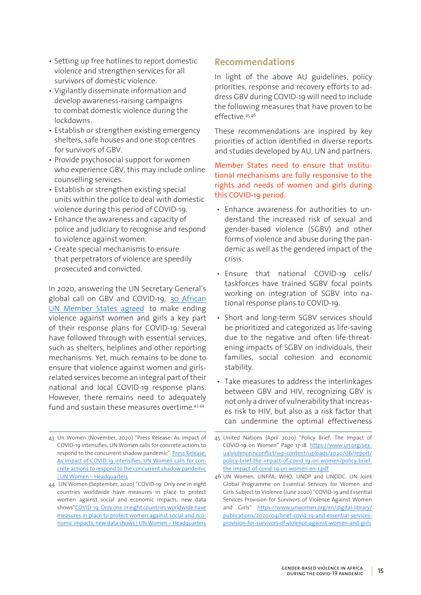- Setting up free hotlines to report domestic violence and strengthen services for all survivors of domestic violence.
- Vigilantly disseminate information and develop awareness-raising campaigns to combat domestic violence during the lockdowns.
- Establish or strengthen existing emergency shelters, safe houses and one stop centres for survivors of GBV.
- Provide psychosocial support for women who experience GBV, this may include online counselling services.
- Establish or strengthen existing special units within the police to deal with domestic violence during this period of COVID-19.
- Enhance the awareness and capacity of police and judiciary to recognise and respond to violence against women.
- Create special mechanisms to ensure that perpetrators of violence are speedily prosecuted and convicted.

In 2020, answering the UN Secretary General's global call on GBV and COVID-19, 30 African UN Member States agreed to make ending violence against women and girls a key part of their response plans for COVID-19. Several have followed through with essential services, such as shelters, helplines and other reporting mechanisms. Yet, much remains to be done to ensure that violence against women and girlsrelated services become an integral part of their national and local COVID-19 response plans. However, there remains need to adequately fund and sustain these measures overtime.43 <sup>44</sup>

## **Recommendations**

In light of the above AU guidelines, policy priorities, response and recovery efforts to address GBV during COVID-19 will need to include the following measures that have proven to be effective.45 <sup>46</sup>

These recommendations are inspired by key priorities of action identified in diverse reports and studies developed by AU, UN and partners.

Member States need to ensure that institutional mechanisms are fully responsive to the rights and needs of women and girls during this COVID-19 period.

- Enhance awareness for authorities to understand the increased risk of sexual and gender-based violence (SGBV) and other forms of violence and abuse during the pandemic as well as the gendered impact of the crisis.
- Ensure that national COVID-19 cells/ taskforces have trained SGBV focal points working on integration of SGBV into national response plans to COVID-19.
- Short and long-term SGBV services should be prioritized and categorized as life-saving due to the negative and often life-threatening impacts of SGBV on individuals, their families, social cohesion and economic stability.
- Take measures to address the interlinkages between GBV and HIV, recognizing GBV is not only a driver of vulnerability that increases risk to HIV, but also as a risk factor that can undermine the optimal effectiveness

<sup>43</sup> Un Women (November, 2020) "Press Release: As impact of COVID-19 intensifies, UN Women calls for concrete actions to respond to the concurrent shadow pandemic". Press Release: As impact of COVID-19 intensifies, UN Women calls for concrete actions to respond to the concurrent shadow pandemic | UN Women – Headquarters

<sup>44</sup> UN Women (September, 2020) "COVID-19: Only one in eight countries worldwide have measures in place to protect women against social and economic impacts, new data shows"COVID-19: Only one in eight countries worldwide have measures in place to protect women against social and economic impacts, new data shows | UN Women – Headquarters

<sup>45</sup> United Nations (April 2020) "Policy Brief: The Impact of COVID-19 on Women" Page 17-18. https://www.un.org/sexualviolenceinconflict/wp-content/uploads/2020/06/report/ policy-brief-the-impact-of-covid-19-on-women/policy-briefthe-impact-of-covid-19-on-women-en-1.pdf

<sup>46</sup> UN Women, UNFPA, WHO, UNDP and UNODC. UN Joint Global Programme on Essential Services for Women and Girls Subject to Violence (June 2020) "COVID-19 and Essential Services Provision for Survivors of Violence Against Women and Girls" https://www.unwomen.org/en/digital-library/ publications/2020/04/brief-covid-19-and-essential-servicesprovision-for-survivors-of-violence-against-women-and-girls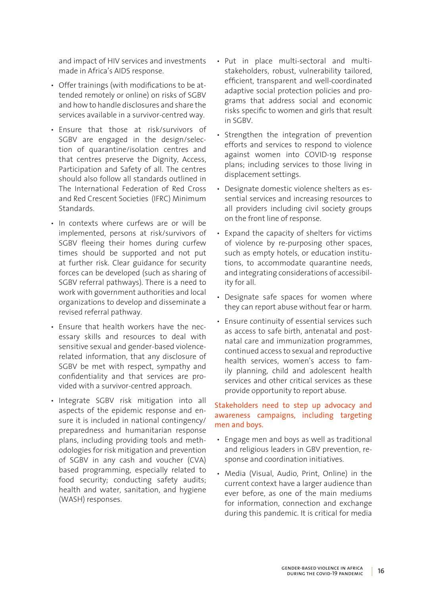and impact of HIV services and investments made in Africa's AIDS response.

- Offer trainings (with modifications to be attended remotely or online) on risks of SGBV and how to handle disclosures and share the services available in a survivor-centred way.
- Ensure that those at risk/survivors of SGBV are engaged in the design/selection of quarantine/isolation centres and that centres preserve the Dignity, Access, Participation and Safety of all. The centres should also follow all standards outlined in The International Federation of Red Cross and Red Crescent Societies (IFRC) Minimum **Standards**
- In contexts where curfews are or will be implemented, persons at risk/survivors of SGBV fleeing their homes during curfew times should be supported and not put at further risk. Clear guidance for security forces can be developed (such as sharing of SGBV referral pathways). There is a need to work with government authorities and local organizations to develop and disseminate a revised referral pathway.
- Ensure that health workers have the necessary skills and resources to deal with sensitive sexual and gender-based violencerelated information, that any disclosure of SGBV be met with respect, sympathy and confidentiality and that services are provided with a survivor-centred approach.
- Integrate SGBV risk mitigation into all aspects of the epidemic response and ensure it is included in national contingency/ preparedness and humanitarian response plans, including providing tools and methodologies for risk mitigation and prevention of SGBV in any cash and voucher (CVA) based programming, especially related to food security; conducting safety audits; health and water, sanitation, and hygiene (WASH) responses.
- Put in place multi-sectoral and multistakeholders, robust, vulnerability tailored, efficient, transparent and well-coordinated adaptive social protection policies and programs that address social and economic risks specific to women and girls that result in SGBV.
- Strengthen the integration of prevention efforts and services to respond to violence against women into COVID-19 response plans; including services to those living in displacement settings.
- Designate domestic violence shelters as essential services and increasing resources to all providers including civil society groups on the front line of response.
- Expand the capacity of shelters for victims of violence by re-purposing other spaces, such as empty hotels, or education institutions, to accommodate quarantine needs, and integrating considerations of accessibility for all.
- Designate safe spaces for women where they can report abuse without fear or harm.
- Ensure continuity of essential services such as access to safe birth, antenatal and postnatal care and immunization programmes, continued access to sexual and reproductive health services, women's access to family planning, child and adolescent health services and other critical services as these provide opportunity to report abuse.

Stakeholders need to step up advocacy and awareness campaigns, including targeting men and boys.

- Engage men and boys as well as traditional and religious leaders in GBV prevention, response and coordination initiatives.
- Media (Visual, Audio, Print, Online) in the current context have a larger audience than ever before, as one of the main mediums for information, connection and exchange during this pandemic. It is critical for media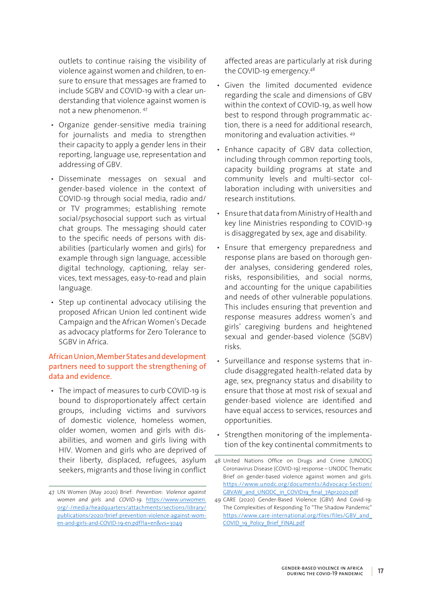outlets to continue raising the visibility of violence against women and children, to ensure to ensure that messages are framed to include SGBV and COVID-19 with a clear understanding that violence against women is not a new phenomenon. 47

- Organize gender-sensitive media training for journalists and media to strengthen their capacity to apply a gender lens in their reporting, language use, representation and addressing of GBV.
- Disseminate messages on sexual and gender-based violence in the context of COVID-19 through social media, radio and/ or TV programmes; establishing remote social/psychosocial support such as virtual chat groups. The messaging should cater to the specific needs of persons with disabilities (particularly women and girls) for example through sign language, accessible digital technology, captioning, relay services, text messages, easy-to-read and plain language.
- Step up continental advocacy utilising the proposed African Union led continent wide Campaign and the African Women's Decade as advocacy platforms for Zero Tolerance to SGBV in Africa.

## African Union, Member States and development partners need to support the strengthening of data and evidence.

• The impact of measures to curb COVID-19 is bound to disproportionately affect certain groups, including victims and survivors of domestic violence, homeless women, older women, women and girls with disabilities, and women and girls living with HIV. Women and girls who are deprived of their liberty, displaced, refugees, asylum seekers, migrants and those living in conflict affected areas are particularly at risk during the COVID-19 emergency.48

- Given the limited documented evidence regarding the scale and dimensions of GBV within the context of COVID-19, as well how best to respond through programmatic action, there is a need for additional research, monitoring and evaluation activities. 49
- Enhance capacity of GBV data collection, including through common reporting tools, capacity building programs at state and community levels and multi-sector collaboration including with universities and research institutions.
- Ensure that data from Ministry of Health and key line Ministries responding to COVID-19 is disaggregated by sex, age and disability.
- Ensure that emergency preparedness and response plans are based on thorough gender analyses, considering gendered roles, risks, responsibilities, and social norms, and accounting for the unique capabilities and needs of other vulnerable populations. This includes ensuring that prevention and response measures address women's and girls' caregiving burdens and heightened sexual and gender-based violence (SGBV) risks.
- Surveillance and response systems that include disaggregated health-related data by age, sex, pregnancy status and disability to ensure that those at most risk of sexual and gender-based violence are identified and have equal access to services, resources and opportunities.
- Strengthen monitoring of the implementation of the key continental commitments to

<sup>47</sup> UN Women (May 2020) Brief: *Prevention*: *Violence against women and girls* and *COVID-19*. https://www.unwomen. org/-/media/headquarters/attachments/sections/library/ publications/2020/brief-prevention-violence-against-women-and-girls-and-COVID-19-en.pdf?la=en&vs=3049

<sup>48</sup> United Nations Office on Drugs and Crime (UNODC) Coronavirus Disease (COVID-19) response – UNODC Thematic Brief on gender-based violence against women and girls. https://www.unodc.org/documents/Advocacy-Section/ GBVAW\_and\_UNODC\_in\_COVID19\_final\_7Apr2020.pdf

<sup>49</sup> CARE (2020) Gender-Based Violence (GBV) And Covid-19: The Complexities of Responding To "The Shadow Pandemic" https://www.care-international.org/files/files/GBV\_and\_ COVID\_19\_Policy\_Brief\_FINAL.pdf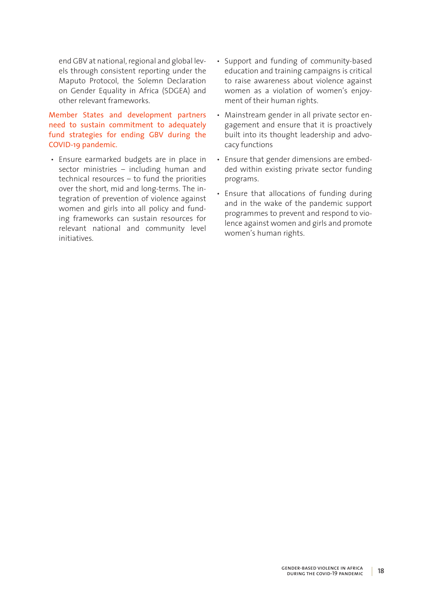end GBV at national, regional and global levels through consistent reporting under the Maputo Protocol, the Solemn Declaration on Gender Equality in Africa (SDGEA) and other relevant frameworks.

Member States and development partners need to sustain commitment to adequately fund strategies for ending GBV during the COVID-19 pandemic.

- Ensure earmarked budgets are in place in sector ministries – including human and technical resources – to fund the priorities over the short, mid and long-terms. The integration of prevention of violence against women and girls into all policy and funding frameworks can sustain resources for relevant national and community level initiatives.
- Support and funding of community-based education and training campaigns is critical to raise awareness about violence against women as a violation of women's enjoyment of their human rights.
- Mainstream gender in all private sector engagement and ensure that it is proactively built into its thought leadership and advocacy functions
- Ensure that gender dimensions are embedded within existing private sector funding programs.
- Ensure that allocations of funding during and in the wake of the pandemic support programmes to prevent and respond to violence against women and girls and promote women's human rights.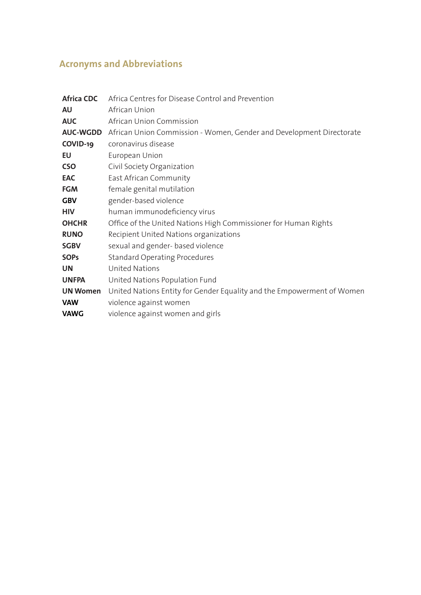## **Acronyms and Abbreviations**

| <b>Africa CDC</b> | Africa Centres for Disease Control and Prevention                      |
|-------------------|------------------------------------------------------------------------|
| AU                | African Union                                                          |
| <b>AUC</b>        | African Union Commission                                               |
| <b>AUC-WGDD</b>   | African Union Commission - Women, Gender and Development Directorate   |
| COVID-19          | coronavirus disease                                                    |
| EU                | European Union                                                         |
| <b>CSO</b>        | Civil Society Organization                                             |
| EAC               | East African Community                                                 |
| <b>FGM</b>        | female genital mutilation                                              |
| <b>GBV</b>        | gender-based violence                                                  |
| <b>HIV</b>        | human immunodeficiency virus                                           |
| <b>OHCHR</b>      | Office of the United Nations High Commissioner for Human Rights        |
| <b>RUNO</b>       | Recipient United Nations organizations                                 |
| <b>SGBV</b>       | sexual and gender- based violence                                      |
| <b>SOPs</b>       | <b>Standard Operating Procedures</b>                                   |
| <b>UN</b>         | <b>United Nations</b>                                                  |
| <b>UNFPA</b>      | United Nations Population Fund                                         |
| <b>UN Women</b>   | United Nations Entity for Gender Equality and the Empowerment of Women |
| <b>VAW</b>        | violence against women                                                 |
| <b>VAWG</b>       | violence against women and girls                                       |
|                   |                                                                        |